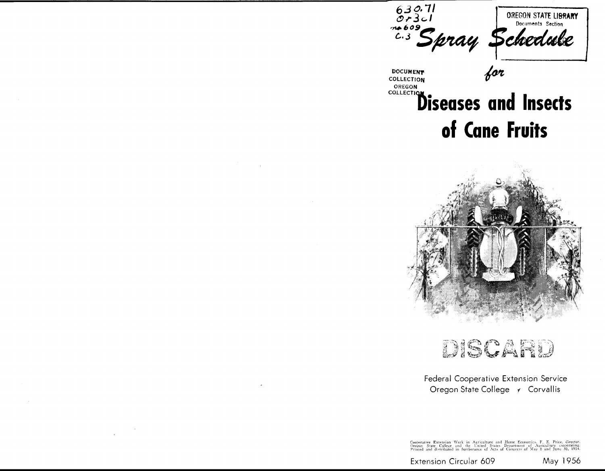

for

**OCUMENT OLLECTION** OREGON **DLLECTIO** 

# **Diseases and Insects** of Cane Fruits



## DISCARD

### Federal Cooperative Extension Service Oregon State College + Corvallis

Cooperative Extension Work in Agriculture and Home Economics, F. F. Price, director.<br>Oregon State College and the United States Department of Agriculture cooperating.<br>Printed and distributed in furtherance of Acts of Congr

Extension Circular 609

May 1956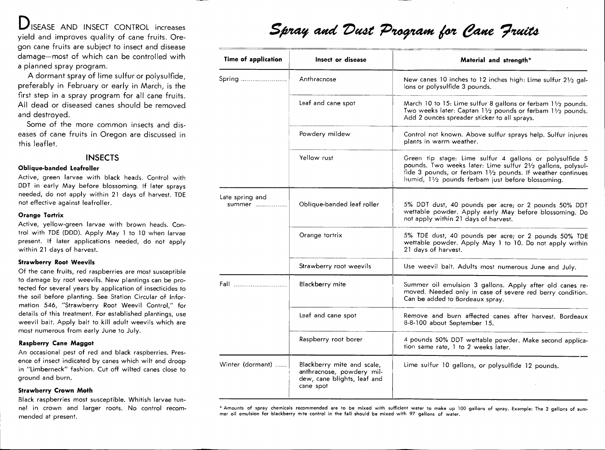**D**ISEASE AND INSECT CONTROL increases yield and improves quality of cane fruits. Ore-<br>gon cane fruits are subject to insect and disease<br>damage—most of which can be controlled with<br>a planned spray program.

damage—most of which can be controlled with<br>a planned spray program.<br>A dormant spray of lime sulfur or polysulfide,<br>preferably in February or early in March, is the a planned spray program.<br>A dormant spray of lime sulfur or polysulfide,<br>preferably in February or early in March, is the<br>first step in a spray program for all cane fruits.<br>All dead or diseased canes should be removed first step in a spray program for all cane fruits. All dead or diseased canes should be removed

and destroyed.<br>Some of the more common insects and dis-<br>eases of cane fruits in Oregon are discussed in<br>this leaflet. this leaflet.<br>**INSECTS**<br>**Oblique-banded Leafroller**<br>Active, green larvae with black heads. Control with

**Oblique-banded Leafroller**<br>Active, green larvae with black heads. Control with<br>DDT in early May before blossoming. If later sprays<br>needed, do not apply within 21 days of harvest. TDE<br>not effective against leafroller. DDT in early May before blossoming. If later sprays<br>needed, do not apply within 21 days of harvest. TDE<br>not effective against leafroller.<br>**Drange Tortrix** needed, do not apply within 21 days of harvest. TDE<br>not effective against leafroller.<br>**Orange Tortrix**<br>Active, yellow-green larvae with brown heads. Con-

not effective against leafroller.<br>**Orange Tortrix**<br>Active, yellow-green larvae with brown heads. Cor<br>trol with TDE (DDD). Apply May 1 to 10 when larva<br>present. If later applications needed, do not appl Active, yellow-green larvae with brown heads. Control with TDE (DDD). Apply May 1 to 10 when larvae<br>present. If later applications needed, do not apply<br>within 21 days of harvest. present. If later applications needed, do not apply<br>within 21 days of harvest.<br>**Strawberry Root Weevils** 

Of the cane fruits, red raspberries are most susceptible<br>to damage by root weevils. New plantings can be pro-Of the cane fruits, red raspberries are most susceptible<br>to damage by root weevils. New plantings can be pro-<br>tected for several years by application of insecticides to<br>the soil before planting. See Station Circular of Inf to damage by root weevils. New plantings can be pro-<br>tected for several years by application of insecticides to<br>the soil before planting. See Station Circular of Infor-<br>mation 546, "Strawberry Root Weevil Control," for the soil before planting. See Station Circular of Infor-<br>mation 546, "Strawberry Root Weevil Control," for<br>details of this treatment. For established plantings, use<br>weevil bait. Apply bait to kill adult weevils which are<br>m weevil bait. Apply bait to kill adult weevils which are<br>most numerous from early June to July.<br>**Raspberry Cane Maggot**<br>An occasional pest of red and black raspberries. Pres-

most numerous from early June to July.<br>**Raspberry Cane Maggot**<br>An occasional pest of red and black raspberries. Pres-<br>ence of insect indicated by canes which wilt and droop in "Limberneck" fashion. Cut off wilted canes close to ground and burn.

**Strawberry Crown Moth**<br>Black raspberries most susceptible. Whitish larvae tunground and burn.<br>**Strawberry Crown Moth**<br>Black raspberries most susceptible. Whitish larvae tu<br>nel in crown and larger roots. No control recor Black raspberries most susceptible. Whitish larvae tun-<br>nel in crown and larger roots. No control recom-<br>mended at present.

## Spray and Dust Program for Cane Fruits

| Insect or disease                                                                                  | Material and strength*                                                                                                                                                                                                                    |
|----------------------------------------------------------------------------------------------------|-------------------------------------------------------------------------------------------------------------------------------------------------------------------------------------------------------------------------------------------|
| Anthracnose                                                                                        | New canes 10 inches to 12 inches high: Lime sulfur 21/2 gal-<br>lons or polysulfide 3 pounds.                                                                                                                                             |
| Leaf and cane spot                                                                                 | March 10 to 15: Lime sulfur 8 gallons or ferbam $1\frac{1}{2}$ pounds.<br>Two weeks later: Captan 11/2 pounds or ferbam 11/2 pounds.<br>Add 2 ounces spreader sticker to all sprays.                                                      |
| Powdery mildew                                                                                     | Control not known. Above sulfur sprays help. Sulfur injures<br>plants in warm weather.                                                                                                                                                    |
| Yellow rust                                                                                        | Green tip stage: Lime sulfur 4 gallons or polysulfide 5<br>pounds. Two weeks later: Lime sulfur 21/2 gallons, polysul-<br>fide 3 pounds, or ferbam 11/2 pounds. If weather continues<br>humid, 11/2 pounds ferbam just before blossoming. |
| Oblique-banded leaf roller                                                                         | 5% DDT dust, 40 pounds per acre; or 2 pounds 50% DDT<br>wettable powder. Apply early May before blossoming. Do<br>not apply within 21 days of harvest.                                                                                    |
| Orange tortrix                                                                                     | 5% TDE dust, 40 pounds per acre; or 2 pounds 50% TDE<br>wettable powder. Apply May 1 to 10. Do not apply within<br>21 days of harvest.                                                                                                    |
| Strawberry root weevils                                                                            | Use weevil bait. Adults most numerous June and July.                                                                                                                                                                                      |
| Blackberry mite                                                                                    | Summer oil emulsion 3 gallons. Apply after old canes re-<br>moved. Needed only in case of severe red berry condition.<br>Can be added to Bordeaux spray.                                                                                  |
| Leaf and cane spot                                                                                 | Remove and burn affected canes after harvest. Bordeaux<br>8-8-100 about September 15.                                                                                                                                                     |
| Raspberry root borer                                                                               | 4 pounds 50% DDT wettable powder. Make second applica-<br>tion same rate, 1 to 2 weeks later.                                                                                                                                             |
| Blackberry mite and scale,<br>anthracnose, powdery mil-<br>dew, cane blights, leaf and             | Lime sulfur 10 gallons, or polysulfide 12 pounds.                                                                                                                                                                                         |
|                                                                                                    |                                                                                                                                                                                                                                           |
| mer oil emulsion for blackberry mite control in the fall should be mixed with 97 gallons of water. | * Amounts of spray chemicals recommended are to be mixed with sufficient water to make up 100 gallons of spray. Example: The 3 gallons of sum-                                                                                            |
|                                                                                                    | cane spot                                                                                                                                                                                                                                 |